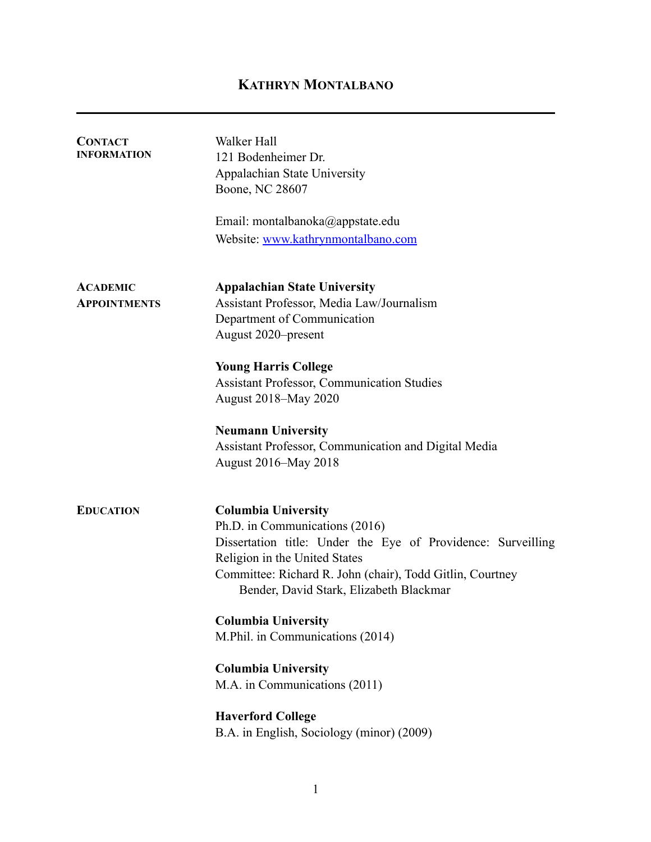# **KATHRYN MONTALBANO**

| <b>CONTACT</b><br><b>INFORMATION</b> | Walker Hall<br>121 Bodenheimer Dr.<br>Appalachian State University                                   |
|--------------------------------------|------------------------------------------------------------------------------------------------------|
|                                      | Boone, NC 28607                                                                                      |
|                                      | Email: montalbanoka@appstate.edu                                                                     |
|                                      | Website: www.kathrynmontalbano.com                                                                   |
| <b>ACADEMIC</b>                      | <b>Appalachian State University</b>                                                                  |
| <b>APPOINTMENTS</b>                  | Assistant Professor, Media Law/Journalism                                                            |
|                                      | Department of Communication                                                                          |
|                                      | August 2020–present                                                                                  |
|                                      | <b>Young Harris College</b>                                                                          |
|                                      | <b>Assistant Professor, Communication Studies</b>                                                    |
|                                      | August 2018–May 2020                                                                                 |
|                                      | <b>Neumann University</b>                                                                            |
|                                      | Assistant Professor, Communication and Digital Media                                                 |
|                                      | August 2016–May 2018                                                                                 |
| <b>EDUCATION</b>                     | <b>Columbia University</b>                                                                           |
|                                      | Ph.D. in Communications (2016)                                                                       |
|                                      | Dissertation title: Under the Eye of Providence: Surveilling                                         |
|                                      | Religion in the United States                                                                        |
|                                      | Committee: Richard R. John (chair), Todd Gitlin, Courtney<br>Bender, David Stark, Elizabeth Blackmar |
|                                      | <b>Columbia University</b>                                                                           |
|                                      | M.Phil. in Communications (2014)                                                                     |
|                                      | <b>Columbia University</b>                                                                           |
|                                      | M.A. in Communications (2011)                                                                        |
|                                      | <b>Haverford College</b>                                                                             |
|                                      | B.A. in English, Sociology (minor) (2009)                                                            |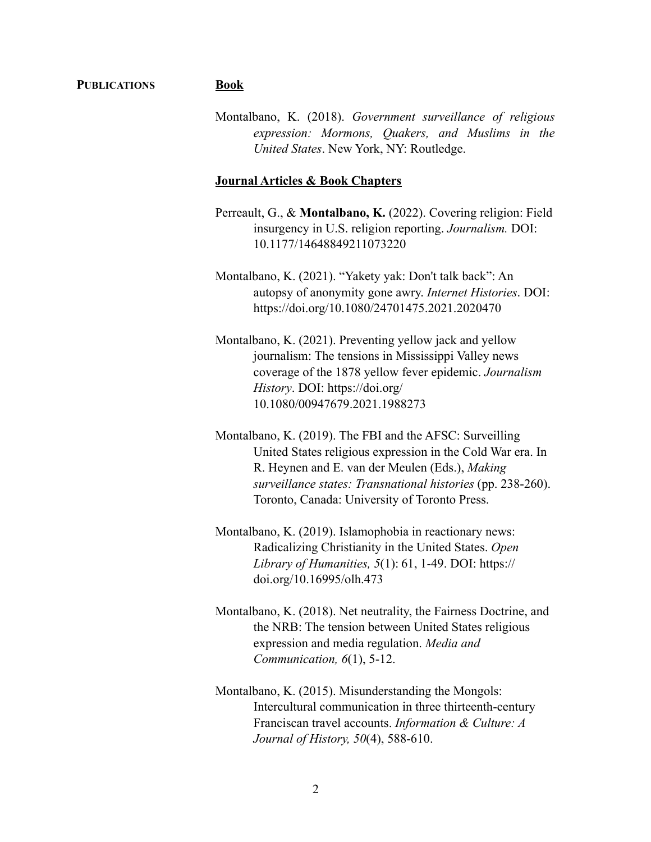#### **PUBLICATIONS Book**

Montalbano, K. (2018). *Government surveillance of religious expression: Mormons, Quakers, and Muslims in the United States*. New York, NY: Routledge.

### **Journal Articles & Book Chapters**

- Perreault, G., & **Montalbano, K.** (2022). Covering religion: Field insurgency in U.S. religion reporting. *Journalism.* DOI: 10.1177/14648849211073220
- Montalbano, K. (2021). "Yakety yak: Don't talk back": An autopsy of anonymity gone awry. *Internet Histories*. DOI: https://doi.org/10.1080/24701475.2021.2020470
- Montalbano, K. (2021). Preventing yellow jack and yellow journalism: The tensions in Mississippi Valley news coverage of the 1878 yellow fever epidemic. *Journalism History*. DOI: https://doi.org/ 10.1080/00947679.2021.1988273
- Montalbano, K. (2019). The FBI and the AFSC: Surveilling United States religious expression in the Cold War era. In R. Heynen and E. van der Meulen (Eds.), *Making surveillance states: Transnational histories* (pp. 238-260). Toronto, Canada: University of Toronto Press.
- Montalbano, K. (2019). Islamophobia in reactionary news: Radicalizing Christianity in the United States. *Open Library of Humanities, 5*(1): 61, 1-49. DOI: https:// doi.org/10.16995/olh.473
- Montalbano, K. (2018). Net neutrality, the Fairness Doctrine, and the NRB: The tension between United States religious expression and media regulation. *Media and Communication, 6*(1), 5-12.
- Montalbano, K. (2015). Misunderstanding the Mongols: Intercultural communication in three thirteenth-century Franciscan travel accounts. *Information & Culture: A Journal of History, 50*(4), 588-610.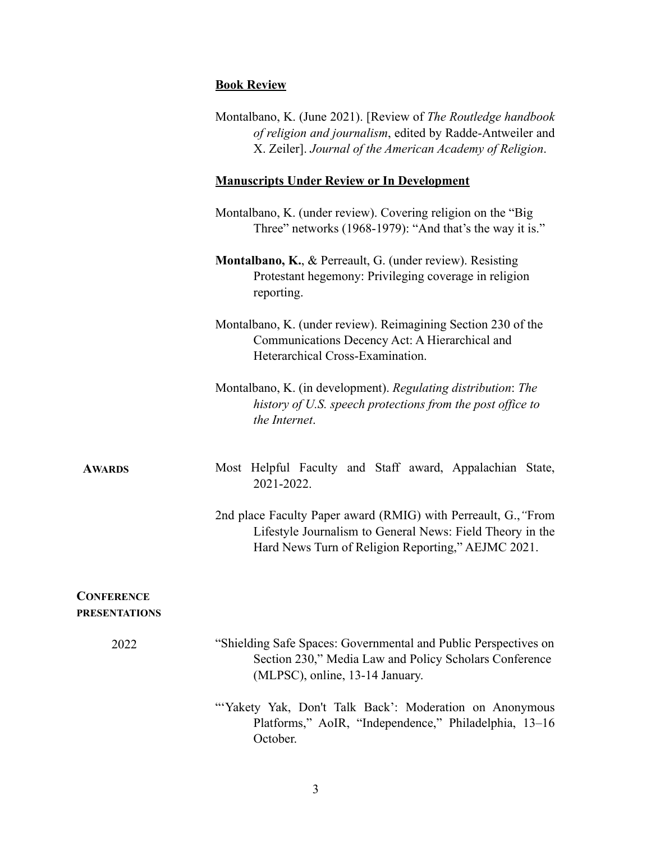#### **Book Review**

| Montalbano, K. (June 2021). [Review of The Routledge handbook] |
|----------------------------------------------------------------|
| of religion and journalism, edited by Radde-Antweiler and      |
| X. Zeiler]. Journal of the American Academy of Religion.       |

#### **Manuscripts Under Review or In Development**

- Montalbano, K. (under review). Covering religion on the "Big Three" networks (1968-1979): "And that's the way it is."
- **Montalbano, K.**, & Perreault, G. (under review). Resisting Protestant hegemony: Privileging coverage in religion reporting.
- Montalbano, K. (under review). Reimagining Section 230 of the Communications Decency Act: A Hierarchical and Heterarchical Cross-Examination.
- Montalbano, K. (in development). *Regulating distribution*: *The history of U.S. speech protections from the post office to the Internet*.

**AWARDS**

Most Helpful Faculty and Staff award, Appalachian State, 2021-2022.

2nd place Faculty Paper award (RMIG) with Perreault, G.,*"*From Lifestyle Journalism to General News: Field Theory in the Hard News Turn of Religion Reporting," AEJMC 2021.

#### **CONFERENCE PRESENTATIONS**

- 2022 "Shielding Safe Spaces: Governmental and Public Perspectives on Section 230," Media Law and Policy Scholars Conference (MLPSC), online, 13-14 January.
	- "Yakety Yak, Don't Talk Back': Moderation on Anonymous Platforms," AoIR, "Independence," Philadelphia, 13–16 October.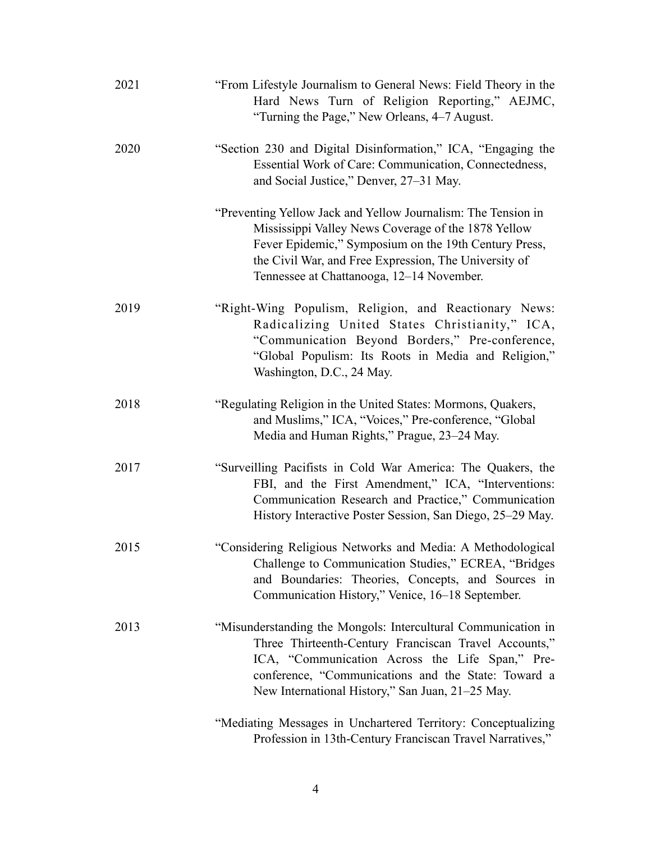| 2021 | "From Lifestyle Journalism to General News: Field Theory in the<br>Hard News Turn of Religion Reporting," AEJMC,<br>"Turning the Page," New Orleans, 4-7 August.                                                                                                                     |
|------|--------------------------------------------------------------------------------------------------------------------------------------------------------------------------------------------------------------------------------------------------------------------------------------|
| 2020 | "Section 230 and Digital Disinformation," ICA, "Engaging the<br>Essential Work of Care: Communication, Connectedness,<br>and Social Justice," Denver, 27–31 May.                                                                                                                     |
|      | "Preventing Yellow Jack and Yellow Journalism: The Tension in<br>Mississippi Valley News Coverage of the 1878 Yellow<br>Fever Epidemic," Symposium on the 19th Century Press,<br>the Civil War, and Free Expression, The University of<br>Tennessee at Chattanooga, 12–14 November.  |
| 2019 | "Right-Wing Populism, Religion, and Reactionary News:<br>Radicalizing United States Christianity," ICA,<br>"Communication Beyond Borders," Pre-conference,<br>"Global Populism: Its Roots in Media and Religion,"<br>Washington, D.C., 24 May.                                       |
| 2018 | "Regulating Religion in the United States: Mormons, Quakers,<br>and Muslims," ICA, "Voices," Pre-conference, "Global<br>Media and Human Rights," Prague, 23–24 May.                                                                                                                  |
| 2017 | "Surveilling Pacifists in Cold War America: The Quakers, the<br>FBI, and the First Amendment," ICA, "Interventions:<br>Communication Research and Practice," Communication<br>History Interactive Poster Session, San Diego, 25–29 May.                                              |
| 2015 | "Considering Religious Networks and Media: A Methodological<br>Challenge to Communication Studies," ECREA, "Bridges<br>and Boundaries: Theories, Concepts, and Sources in<br>Communication History," Venice, 16-18 September.                                                        |
| 2013 | "Misunderstanding the Mongols: Intercultural Communication in<br>Three Thirteenth-Century Franciscan Travel Accounts,"<br>ICA, "Communication Across the Life Span," Pre-<br>conference, "Communications and the State: Toward a<br>New International History," San Juan, 21–25 May. |
|      | "Mediating Messages in Unchartered Territory: Conceptualizing<br>Profession in 13th-Century Franciscan Travel Narratives,"                                                                                                                                                           |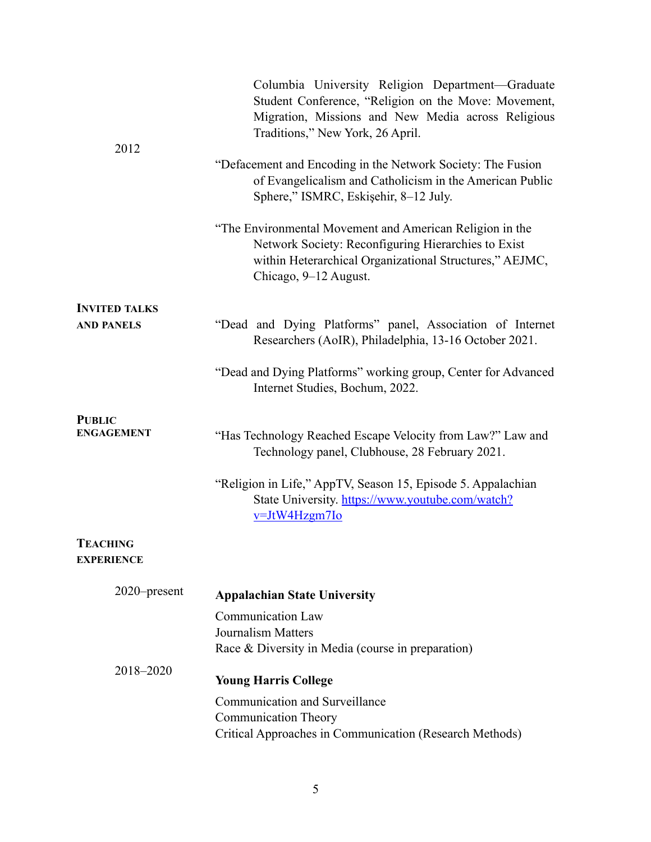| 2012                               | Columbia University Religion Department-Graduate<br>Student Conference, "Religion on the Move: Movement,<br>Migration, Missions and New Media across Religious<br>Traditions," New York, 26 April.  |
|------------------------------------|-----------------------------------------------------------------------------------------------------------------------------------------------------------------------------------------------------|
|                                    | "Defacement and Encoding in the Network Society: The Fusion<br>of Evangelicalism and Catholicism in the American Public<br>Sphere," ISMRC, Eskişehir, 8-12 July.                                    |
|                                    | "The Environmental Movement and American Religion in the<br>Network Society: Reconfiguring Hierarchies to Exist<br>within Heterarchical Organizational Structures," AEJMC,<br>Chicago, 9–12 August. |
| <b>INVITED TALKS</b>               |                                                                                                                                                                                                     |
| <b>AND PANELS</b>                  | "Dead and Dying Platforms" panel, Association of Internet<br>Researchers (AoIR), Philadelphia, 13-16 October 2021.                                                                                  |
|                                    | "Dead and Dying Platforms" working group, Center for Advanced<br>Internet Studies, Bochum, 2022.                                                                                                    |
| <b>PUBLIC</b><br><b>ENGAGEMENT</b> | "Has Technology Reached Escape Velocity from Law?" Law and<br>Technology panel, Clubhouse, 28 February 2021.                                                                                        |
|                                    | "Religion in Life," AppTV, Season 15, Episode 5. Appalachian<br>State University. https://www.youtube.com/watch?<br>v=JtW4Hzgm7Io                                                                   |
| <b>TEACHING</b>                    |                                                                                                                                                                                                     |
| <b>EXPERIENCE</b>                  |                                                                                                                                                                                                     |
| 2020–present                       | <b>Appalachian State University</b>                                                                                                                                                                 |
|                                    | <b>Communication Law</b>                                                                                                                                                                            |
|                                    | <b>Journalism Matters</b>                                                                                                                                                                           |
|                                    | Race & Diversity in Media (course in preparation)                                                                                                                                                   |
| 2018-2020                          | <b>Young Harris College</b>                                                                                                                                                                         |
|                                    | Communication and Surveillance                                                                                                                                                                      |
|                                    | <b>Communication Theory</b>                                                                                                                                                                         |
|                                    | Critical Approaches in Communication (Research Methods)                                                                                                                                             |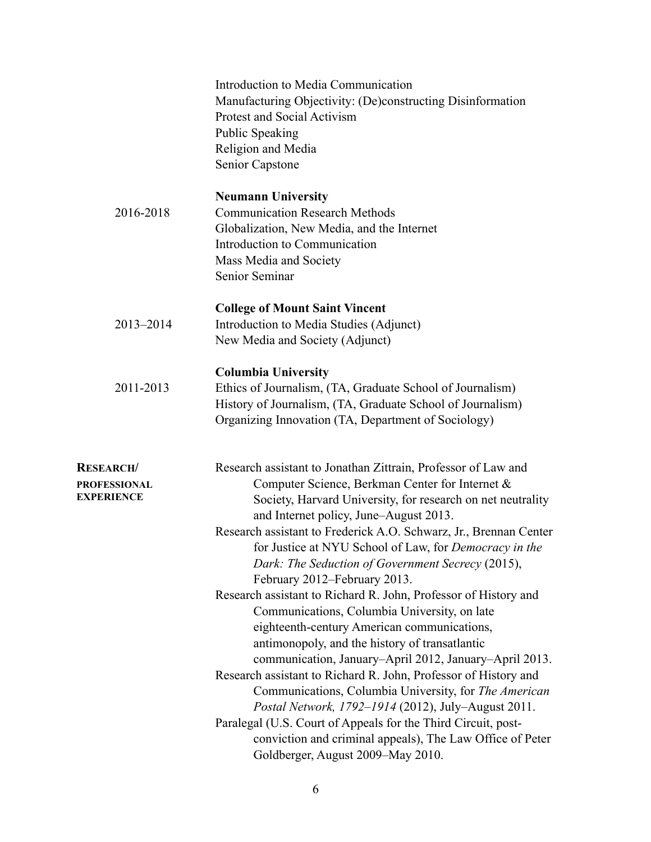|                                                       | Introduction to Media Communication<br>Manufacturing Objectivity: (De)constructing Disinformation<br>Protest and Social Activism<br><b>Public Speaking</b><br>Religion and Media<br>Senior Capstone                                                                                                                                                                                                                                                                                                                                                                                                                                                                                                                                                                                                                                                                                                                                                                                                                                                                               |
|-------------------------------------------------------|-----------------------------------------------------------------------------------------------------------------------------------------------------------------------------------------------------------------------------------------------------------------------------------------------------------------------------------------------------------------------------------------------------------------------------------------------------------------------------------------------------------------------------------------------------------------------------------------------------------------------------------------------------------------------------------------------------------------------------------------------------------------------------------------------------------------------------------------------------------------------------------------------------------------------------------------------------------------------------------------------------------------------------------------------------------------------------------|
| 2016-2018                                             | <b>Neumann University</b><br><b>Communication Research Methods</b><br>Globalization, New Media, and the Internet<br>Introduction to Communication<br>Mass Media and Society<br>Senior Seminar                                                                                                                                                                                                                                                                                                                                                                                                                                                                                                                                                                                                                                                                                                                                                                                                                                                                                     |
| 2013-2014                                             | <b>College of Mount Saint Vincent</b><br>Introduction to Media Studies (Adjunct)<br>New Media and Society (Adjunct)                                                                                                                                                                                                                                                                                                                                                                                                                                                                                                                                                                                                                                                                                                                                                                                                                                                                                                                                                               |
| 2011-2013                                             | <b>Columbia University</b><br>Ethics of Journalism, (TA, Graduate School of Journalism)<br>History of Journalism, (TA, Graduate School of Journalism)<br>Organizing Innovation (TA, Department of Sociology)                                                                                                                                                                                                                                                                                                                                                                                                                                                                                                                                                                                                                                                                                                                                                                                                                                                                      |
| <b>RESEARCH/</b><br>PROFESSIONAL<br><b>EXPERIENCE</b> | Research assistant to Jonathan Zittrain, Professor of Law and<br>Computer Science, Berkman Center for Internet &<br>Society, Harvard University, for research on net neutrality<br>and Internet policy, June–August 2013.<br>Research assistant to Frederick A.O. Schwarz, Jr., Brennan Center<br>for Justice at NYU School of Law, for Democracy in the<br>Dark: The Seduction of Government Secrecy (2015),<br>February 2012–February 2013.<br>Research assistant to Richard R. John, Professor of History and<br>Communications, Columbia University, on late<br>eighteenth-century American communications,<br>antimonopoly, and the history of transatlantic<br>communication, January-April 2012, January-April 2013.<br>Research assistant to Richard R. John, Professor of History and<br>Communications, Columbia University, for The American<br>Postal Network, 1792-1914 (2012), July-August 2011.<br>Paralegal (U.S. Court of Appeals for the Third Circuit, post-<br>conviction and criminal appeals), The Law Office of Peter<br>Goldberger, August 2009–May 2010. |